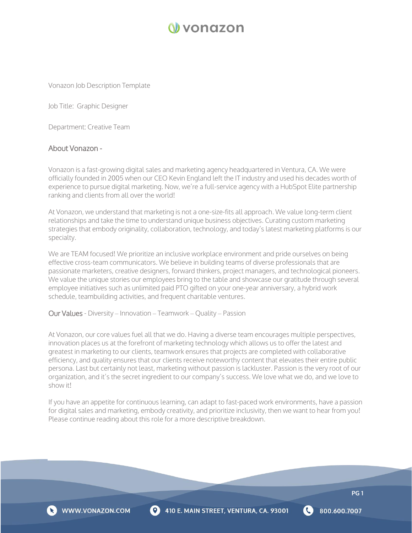

Vonazon Job Description Template

Job Title: Graphic Designer

Department: Creative Team

#### About Vonazon -

Vonazon is a fast-growing digital sales and marketing agency headquartered in Ventura, CA. We were officially founded in 2005 when our CEO Kevin England left the IT industry and used his decades worth of experience to pursue digital marketing. Now, we're a full-service agency with a HubSpot Elite partnership ranking and clients from all over the world!

At Vonazon, we understand that marketing is not a one-size-fits all approach. We value long-term client relationships and take the time to understand unique business objectives. Curating custom marketing strategies that embody originality, collaboration, technology, and today's latest marketing platforms is our specialty.

We are TEAM focused! We prioritize an inclusive workplace environment and pride ourselves on being effective cross-team communicators. We believe in building teams of diverse professionals that are passionate marketers, creative designers, forward thinkers, project managers, and technological pioneers. We value the unique stories our employees bring to the table and showcase our gratitude through several employee initiatives such as unlimited paid PTO gifted on your one-year anniversary, a hybrid work schedule, teambuilding activities, and frequent charitable ventures.

Our Values - Diversity – Innovation – Teamwork – Quality – Passion

At Vonazon, our core values fuel all that we do. Having a diverse team encourages multiple perspectives, innovation places us at the forefront of marketing technology which allows us to offer the latest and greatest in marketing to our clients, teamwork ensures that projects are completed with collaborative efficiency, and quality ensures that our clients receive noteworthy content that elevates their entire public persona. Last but certainly not least, marketing without passion is lackluster. Passion is the very root of our organization, and it's the secret ingredient to our company's success. We love what we do, and we love to show it!

If you have an appetite for continuous learning, can adapt to fast-paced work environments, have a passion for digital sales and marketing, embody creativity, and prioritize inclusivity, then we want to hear from you! Please continue reading about this role for a more descriptive breakdown.



800.600.7007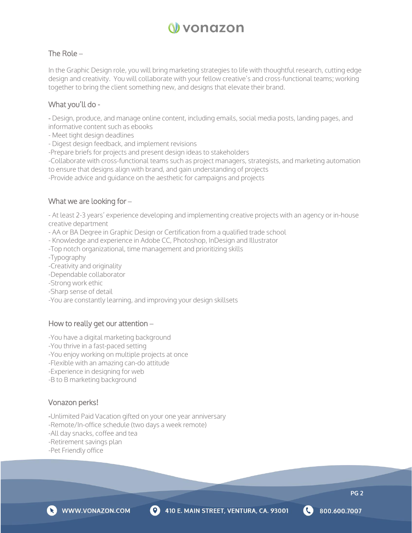

# The Role **–**

In the Graphic Design role, you will bring marketing strategies to life with thoughtful research, cutting edge design and creativity. You will collaborate with your fellow creative's and cross-functional teams; working together to bring the client something new, and designs that elevate their brand.

### What you'll do -

- Design, produce, and manage online content, including emails, social media posts, landing pages, and informative content such as ebooks

- Meet tight design deadlines
- Digest design feedback, and implement revisions
- -Prepare briefs for projects and present design ideas to stakeholders

-Collaborate with cross-functional teams such as project managers, strategists, and marketing automation to ensure that designs align with brand, and gain understanding of projects

-Provide advice and guidance on the aesthetic for campaigns and projects

# What we are looking for **–**

- At least 2-3 years' experience developing and implementing creative projects with an agency or in-house creative department

- AA or BA Degree in Graphic Design or Certification from a qualified trade school
- Knowledge and experience in Adobe CC, Photoshop, InDesign and Illustrator
- -Top notch organizational, time management and prioritizing skills
- -Typography
- -Creativity and originality
- -Dependable collaborator
- -Strong work ethic
- -Sharp sense of detail
- -You are constantly learning, and improving your design skillsets

#### How to really get our attention **–**

-You have a digital marketing background

- -You thrive in a fast-paced setting
- -You enjoy working on multiple projects at once
- -Flexible with an amazing can-do attitude
- -Experience in designing for web
- -B to B marketing background

#### Vonazon perks!

- -Unlimited Paid Vacation gifted on your one year anniversary
- -Remote/In-office schedule (two days a week remote)
- -All day snacks, coffee and tea
- -Retirement savings plan
- -Pet Friendly office